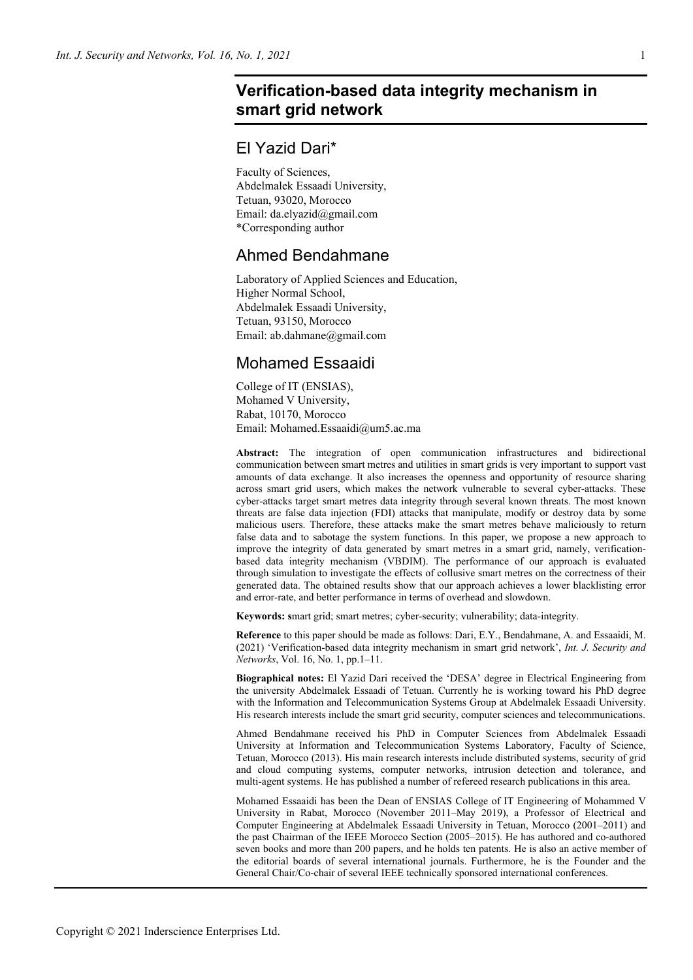# **Verification-based data integrity mechanism in smart grid network**

# El Yazid Dari\*

Faculty of Sciences, Abdelmalek Essaadi University, Tetuan, 93020, Morocco Email: da.elyazid@gmail.com \*Corresponding author

# Ahmed Bendahmane

Laboratory of Applied Sciences and Education, Higher Normal School, Abdelmalek Essaadi University, Tetuan, 93150, Morocco Email: ab.dahmane@gmail.com

# Mohamed Essaaidi

College of IT (ENSIAS), Mohamed V University, Rabat, 10170, Morocco Email: Mohamed.Essaaidi@um5.ac.ma

**Abstract:** The integration of open communication infrastructures and bidirectional communication between smart metres and utilities in smart grids is very important to support vast amounts of data exchange. It also increases the openness and opportunity of resource sharing across smart grid users, which makes the network vulnerable to several cyber-attacks. These cyber-attacks target smart metres data integrity through several known threats. The most known threats are false data injection (FDI) attacks that manipulate, modify or destroy data by some malicious users. Therefore, these attacks make the smart metres behave maliciously to return false data and to sabotage the system functions. In this paper, we propose a new approach to improve the integrity of data generated by smart metres in a smart grid, namely, verificationbased data integrity mechanism (VBDIM). The performance of our approach is evaluated through simulation to investigate the effects of collusive smart metres on the correctness of their generated data. The obtained results show that our approach achieves a lower blacklisting error and error-rate, and better performance in terms of overhead and slowdown.

**Keywords: s**mart grid; smart metres; cyber-security; vulnerability; data-integrity.

**Reference** to this paper should be made as follows: Dari, E.Y., Bendahmane, A. and Essaaidi, M. (2021) 'Verification-based data integrity mechanism in smart grid network', *Int. J. Security and Networks*, Vol. 16, No. 1, pp.1–11.

**Biographical notes:** El Yazid Dari received the 'DESA' degree in Electrical Engineering from the university Abdelmalek Essaadi of Tetuan. Currently he is working toward his PhD degree with the Information and Telecommunication Systems Group at Abdelmalek Essaadi University. His research interests include the smart grid security, computer sciences and telecommunications.

Ahmed Bendahmane received his PhD in Computer Sciences from Abdelmalek Essaadi University at Information and Telecommunication Systems Laboratory, Faculty of Science, Tetuan, Morocco (2013). His main research interests include distributed systems, security of grid and cloud computing systems, computer networks, intrusion detection and tolerance, and multi-agent systems. He has published a number of refereed research publications in this area.

Mohamed Essaaidi has been the Dean of ENSIAS College of IT Engineering of Mohammed V University in Rabat, Morocco (November 2011–May 2019), a Professor of Electrical and Computer Engineering at Abdelmalek Essaadi University in Tetuan, Morocco (2001–2011) and the past Chairman of the IEEE Morocco Section (2005–2015). He has authored and co-authored seven books and more than 200 papers, and he holds ten patents. He is also an active member of the editorial boards of several international journals. Furthermore, he is the Founder and the General Chair/Co-chair of several IEEE technically sponsored international conferences.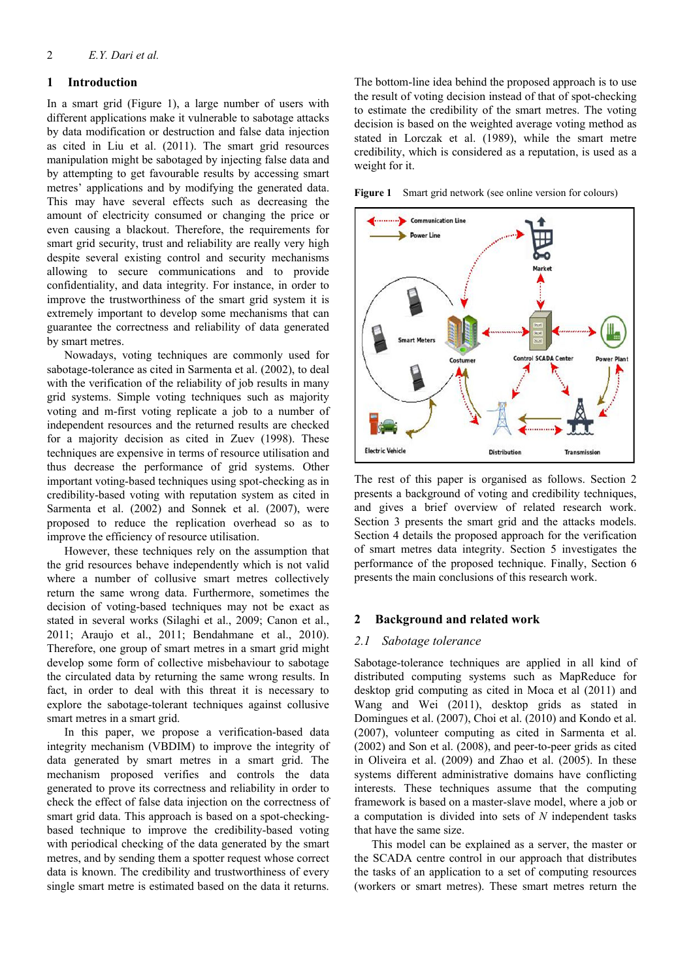## **1 Introduction**

In a smart grid (Figure 1), a large number of users with different applications make it vulnerable to sabotage attacks by data modification or destruction and false data injection as cited in Liu et al. (2011). The smart grid resources manipulation might be sabotaged by injecting false data and by attempting to get favourable results by accessing smart metres' applications and by modifying the generated data. This may have several effects such as decreasing the amount of electricity consumed or changing the price or even causing a blackout. Therefore, the requirements for smart grid security, trust and reliability are really very high despite several existing control and security mechanisms allowing to secure communications and to provide confidentiality, and data integrity. For instance, in order to improve the trustworthiness of the smart grid system it is extremely important to develop some mechanisms that can guarantee the correctness and reliability of data generated by smart metres.

Nowadays, voting techniques are commonly used for sabotage-tolerance as cited in Sarmenta et al. (2002), to deal with the verification of the reliability of job results in many grid systems. Simple voting techniques such as majority voting and m-first voting replicate a job to a number of independent resources and the returned results are checked for a majority decision as cited in Zuev (1998). These techniques are expensive in terms of resource utilisation and thus decrease the performance of grid systems. Other important voting-based techniques using spot-checking as in credibility-based voting with reputation system as cited in Sarmenta et al. (2002) and Sonnek et al. (2007), were proposed to reduce the replication overhead so as to improve the efficiency of resource utilisation.

However, these techniques rely on the assumption that the grid resources behave independently which is not valid where a number of collusive smart metres collectively return the same wrong data. Furthermore, sometimes the decision of voting-based techniques may not be exact as stated in several works (Silaghi et al., 2009; Canon et al., 2011; Araujo et al., 2011; Bendahmane et al., 2010). Therefore, one group of smart metres in a smart grid might develop some form of collective misbehaviour to sabotage the circulated data by returning the same wrong results. In fact, in order to deal with this threat it is necessary to explore the sabotage-tolerant techniques against collusive smart metres in a smart grid.

In this paper, we propose a verification-based data integrity mechanism (VBDIM) to improve the integrity of data generated by smart metres in a smart grid. The mechanism proposed verifies and controls the data generated to prove its correctness and reliability in order to check the effect of false data injection on the correctness of smart grid data. This approach is based on a spot-checkingbased technique to improve the credibility-based voting with periodical checking of the data generated by the smart metres, and by sending them a spotter request whose correct data is known. The credibility and trustworthiness of every single smart metre is estimated based on the data it returns. The bottom-line idea behind the proposed approach is to use the result of voting decision instead of that of spot-checking to estimate the credibility of the smart metres. The voting decision is based on the weighted average voting method as stated in Lorczak et al. (1989), while the smart metre credibility, which is considered as a reputation, is used as a weight for it.

Figure 1 Smart grid network (see online version for colours)



The rest of this paper is organised as follows. Section 2 presents a background of voting and credibility techniques, and gives a brief overview of related research work. Section 3 presents the smart grid and the attacks models. Section 4 details the proposed approach for the verification of smart metres data integrity. Section 5 investigates the performance of the proposed technique. Finally, Section 6 presents the main conclusions of this research work.

### **2 Background and related work**

#### *2.1 Sabotage tolerance*

Sabotage-tolerance techniques are applied in all kind of distributed computing systems such as MapReduce for desktop grid computing as cited in Moca et al (2011) and Wang and Wei (2011), desktop grids as stated in Domingues et al. (2007), Choi et al. (2010) and Kondo et al. (2007), volunteer computing as cited in Sarmenta et al. (2002) and Son et al. (2008), and peer-to-peer grids as cited in Oliveira et al. (2009) and Zhao et al. (2005). In these systems different administrative domains have conflicting interests. These techniques assume that the computing framework is based on a master-slave model, where a job or a computation is divided into sets of *N* independent tasks that have the same size.

This model can be explained as a server, the master or the SCADA centre control in our approach that distributes the tasks of an application to a set of computing resources (workers or smart metres). These smart metres return the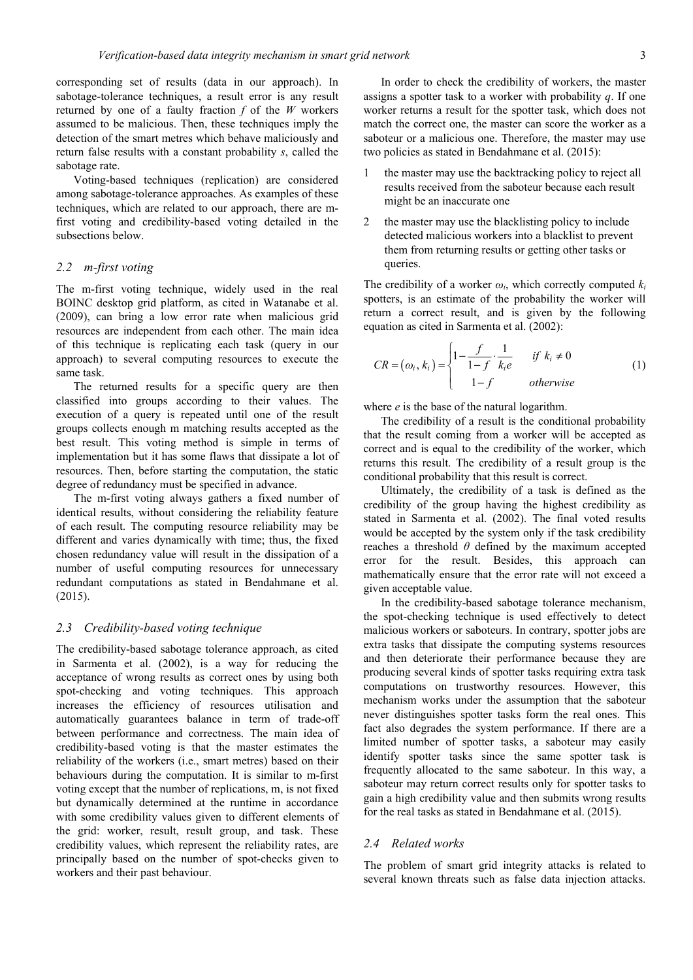corresponding set of results (data in our approach). In sabotage-tolerance techniques, a result error is any result returned by one of a faulty fraction *f* of the *W* workers assumed to be malicious. Then, these techniques imply the detection of the smart metres which behave maliciously and return false results with a constant probability *s*, called the sabotage rate.

Voting-based techniques (replication) are considered among sabotage-tolerance approaches. As examples of these techniques, which are related to our approach, there are mfirst voting and credibility-based voting detailed in the subsections below.

### *2.2 m-first voting*

The m-first voting technique, widely used in the real BOINC desktop grid platform, as cited in Watanabe et al. (2009), can bring a low error rate when malicious grid resources are independent from each other. The main idea of this technique is replicating each task (query in our approach) to several computing resources to execute the same task.

The returned results for a specific query are then classified into groups according to their values. The execution of a query is repeated until one of the result groups collects enough m matching results accepted as the best result. This voting method is simple in terms of implementation but it has some flaws that dissipate a lot of resources. Then, before starting the computation, the static degree of redundancy must be specified in advance.

The m-first voting always gathers a fixed number of identical results, without considering the reliability feature of each result. The computing resource reliability may be different and varies dynamically with time; thus, the fixed chosen redundancy value will result in the dissipation of a number of useful computing resources for unnecessary redundant computations as stated in Bendahmane et al. (2015).

#### *2.3 Credibility-based voting technique*

The credibility-based sabotage tolerance approach, as cited in Sarmenta et al. (2002), is a way for reducing the acceptance of wrong results as correct ones by using both spot-checking and voting techniques. This approach increases the efficiency of resources utilisation and automatically guarantees balance in term of trade-off between performance and correctness. The main idea of credibility-based voting is that the master estimates the reliability of the workers (i.e., smart metres) based on their behaviours during the computation. It is similar to m-first voting except that the number of replications, m, is not fixed but dynamically determined at the runtime in accordance with some credibility values given to different elements of the grid: worker, result, result group, and task. These credibility values, which represent the reliability rates, are principally based on the number of spot-checks given to workers and their past behaviour.

In order to check the credibility of workers, the master assigns a spotter task to a worker with probability *q*. If one worker returns a result for the spotter task, which does not match the correct one, the master can score the worker as a saboteur or a malicious one. Therefore, the master may use two policies as stated in Bendahmane et al. (2015):

- the master may use the backtracking policy to reject all results received from the saboteur because each result might be an inaccurate one
- 2 the master may use the blacklisting policy to include detected malicious workers into a blacklist to prevent them from returning results or getting other tasks or queries.

The credibility of a worker *ωi*, which correctly computed *ki* spotters, is an estimate of the probability the worker will return a correct result, and is given by the following equation as cited in Sarmenta et al. (2002):

$$
CR = (\omega_i, k_i) = \begin{cases} 1 - \frac{f}{1 - f} \cdot \frac{1}{k_i e} & \text{if } k_i \neq 0 \\ 1 - f & \text{otherwise} \end{cases}
$$
(1)

where *e* is the base of the natural logarithm.

The credibility of a result is the conditional probability that the result coming from a worker will be accepted as correct and is equal to the credibility of the worker, which returns this result. The credibility of a result group is the conditional probability that this result is correct.

Ultimately, the credibility of a task is defined as the credibility of the group having the highest credibility as stated in Sarmenta et al. (2002). The final voted results would be accepted by the system only if the task credibility reaches a threshold *θ* defined by the maximum accepted error for the result. Besides, this approach can mathematically ensure that the error rate will not exceed a given acceptable value.

In the credibility-based sabotage tolerance mechanism, the spot-checking technique is used effectively to detect malicious workers or saboteurs. In contrary, spotter jobs are extra tasks that dissipate the computing systems resources and then deteriorate their performance because they are producing several kinds of spotter tasks requiring extra task computations on trustworthy resources. However, this mechanism works under the assumption that the saboteur never distinguishes spotter tasks form the real ones. This fact also degrades the system performance. If there are a limited number of spotter tasks, a saboteur may easily identify spotter tasks since the same spotter task is frequently allocated to the same saboteur. In this way, a saboteur may return correct results only for spotter tasks to gain a high credibility value and then submits wrong results for the real tasks as stated in Bendahmane et al. (2015).

#### *2.4 Related works*

The problem of smart grid integrity attacks is related to several known threats such as false data injection attacks.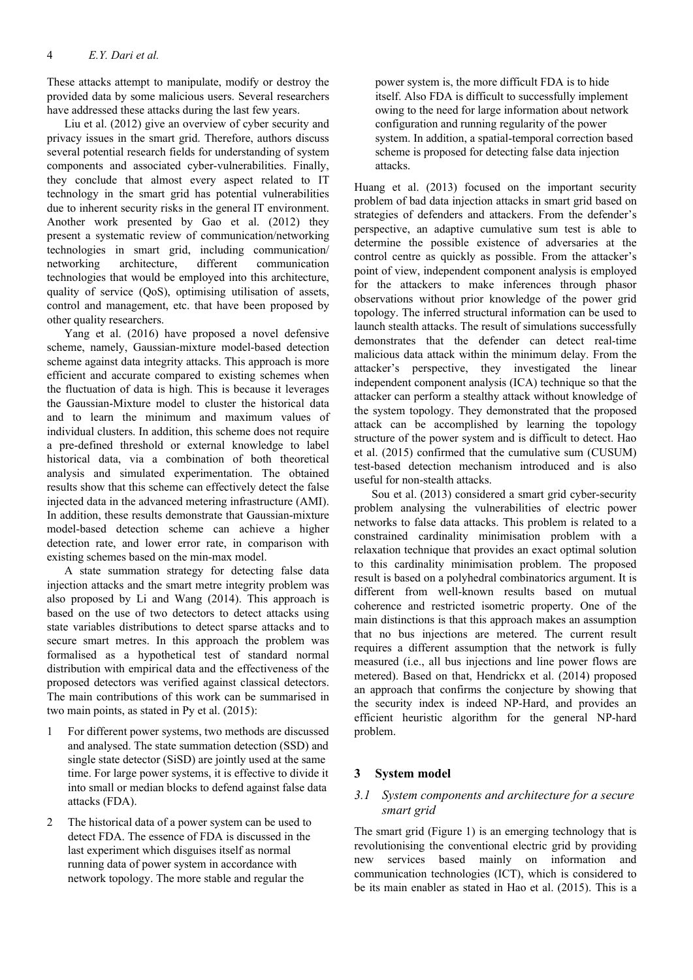These attacks attempt to manipulate, modify or destroy the provided data by some malicious users. Several researchers have addressed these attacks during the last few years.

Liu et al. (2012) give an overview of cyber security and privacy issues in the smart grid. Therefore, authors discuss several potential research fields for understanding of system components and associated cyber-vulnerabilities. Finally, they conclude that almost every aspect related to IT technology in the smart grid has potential vulnerabilities due to inherent security risks in the general IT environment. Another work presented by Gao et al. (2012) they present a systematic review of communication/networking technologies in smart grid, including communication/ networking architecture, different communication technologies that would be employed into this architecture, quality of service (QoS), optimising utilisation of assets, control and management, etc. that have been proposed by other quality researchers.

Yang et al. (2016) have proposed a novel defensive scheme, namely, Gaussian-mixture model-based detection scheme against data integrity attacks. This approach is more efficient and accurate compared to existing schemes when the fluctuation of data is high. This is because it leverages the Gaussian-Mixture model to cluster the historical data and to learn the minimum and maximum values of individual clusters. In addition, this scheme does not require a pre-defined threshold or external knowledge to label historical data, via a combination of both theoretical analysis and simulated experimentation. The obtained results show that this scheme can effectively detect the false injected data in the advanced metering infrastructure (AMI). In addition, these results demonstrate that Gaussian-mixture model-based detection scheme can achieve a higher detection rate, and lower error rate, in comparison with existing schemes based on the min-max model.

A state summation strategy for detecting false data injection attacks and the smart metre integrity problem was also proposed by Li and Wang (2014). This approach is based on the use of two detectors to detect attacks using state variables distributions to detect sparse attacks and to secure smart metres. In this approach the problem was formalised as a hypothetical test of standard normal distribution with empirical data and the effectiveness of the proposed detectors was verified against classical detectors. The main contributions of this work can be summarised in two main points, as stated in Py et al. (2015):

- 1 For different power systems, two methods are discussed and analysed. The state summation detection (SSD) and single state detector (SiSD) are jointly used at the same time. For large power systems, it is effective to divide it into small or median blocks to defend against false data attacks (FDA).
- 2 The historical data of a power system can be used to detect FDA. The essence of FDA is discussed in the last experiment which disguises itself as normal running data of power system in accordance with network topology. The more stable and regular the

power system is, the more difficult FDA is to hide itself. Also FDA is difficult to successfully implement owing to the need for large information about network configuration and running regularity of the power system. In addition, a spatial-temporal correction based scheme is proposed for detecting false data injection attacks.

Huang et al. (2013) focused on the important security problem of bad data injection attacks in smart grid based on strategies of defenders and attackers. From the defender's perspective, an adaptive cumulative sum test is able to determine the possible existence of adversaries at the control centre as quickly as possible. From the attacker's point of view, independent component analysis is employed for the attackers to make inferences through phasor observations without prior knowledge of the power grid topology. The inferred structural information can be used to launch stealth attacks. The result of simulations successfully demonstrates that the defender can detect real-time malicious data attack within the minimum delay. From the attacker's perspective, they investigated the linear independent component analysis (ICA) technique so that the attacker can perform a stealthy attack without knowledge of the system topology. They demonstrated that the proposed attack can be accomplished by learning the topology structure of the power system and is difficult to detect. Hao et al. (2015) confirmed that the cumulative sum (CUSUM) test-based detection mechanism introduced and is also useful for non-stealth attacks.

Sou et al. (2013) considered a smart grid cyber-security problem analysing the vulnerabilities of electric power networks to false data attacks. This problem is related to a constrained cardinality minimisation problem with a relaxation technique that provides an exact optimal solution to this cardinality minimisation problem. The proposed result is based on a polyhedral combinatorics argument. It is different from well-known results based on mutual coherence and restricted isometric property. One of the main distinctions is that this approach makes an assumption that no bus injections are metered. The current result requires a different assumption that the network is fully measured (i.e., all bus injections and line power flows are metered). Based on that, Hendrickx et al. (2014) proposed an approach that confirms the conjecture by showing that the security index is indeed NP-Hard, and provides an efficient heuristic algorithm for the general NP-hard problem.

# **3 System model**

# *3.1 System components and architecture for a secure smart grid*

The smart grid (Figure 1) is an emerging technology that is revolutionising the conventional electric grid by providing new services based mainly on information and communication technologies (ICT), which is considered to be its main enabler as stated in Hao et al. (2015). This is a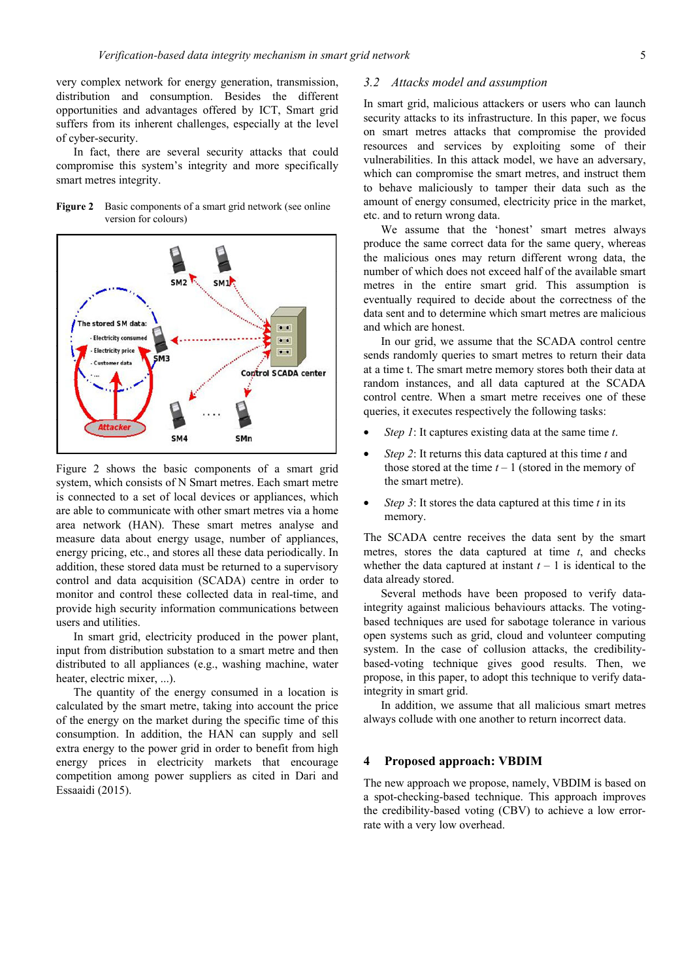very complex network for energy generation, transmission, distribution and consumption. Besides the different opportunities and advantages offered by ICT, Smart grid suffers from its inherent challenges, especially at the level of cyber-security.

In fact, there are several security attacks that could compromise this system's integrity and more specifically smart metres integrity.

Figure 2 Basic components of a smart grid network (see online version for colours)



Figure 2 shows the basic components of a smart grid system, which consists of N Smart metres. Each smart metre is connected to a set of local devices or appliances, which are able to communicate with other smart metres via a home area network (HAN). These smart metres analyse and measure data about energy usage, number of appliances, energy pricing, etc., and stores all these data periodically. In addition, these stored data must be returned to a supervisory control and data acquisition (SCADA) centre in order to monitor and control these collected data in real-time, and provide high security information communications between users and utilities.

In smart grid, electricity produced in the power plant, input from distribution substation to a smart metre and then distributed to all appliances (e.g., washing machine, water heater, electric mixer, ...).

The quantity of the energy consumed in a location is calculated by the smart metre, taking into account the price of the energy on the market during the specific time of this consumption. In addition, the HAN can supply and sell extra energy to the power grid in order to benefit from high energy prices in electricity markets that encourage competition among power suppliers as cited in Dari and Essaaidi (2015).

#### *3.2 Attacks model and assumption*

In smart grid, malicious attackers or users who can launch security attacks to its infrastructure. In this paper, we focus on smart metres attacks that compromise the provided resources and services by exploiting some of their vulnerabilities. In this attack model, we have an adversary, which can compromise the smart metres, and instruct them to behave maliciously to tamper their data such as the amount of energy consumed, electricity price in the market, etc. and to return wrong data.

We assume that the 'honest' smart metres always produce the same correct data for the same query, whereas the malicious ones may return different wrong data, the number of which does not exceed half of the available smart metres in the entire smart grid. This assumption is eventually required to decide about the correctness of the data sent and to determine which smart metres are malicious and which are honest.

In our grid, we assume that the SCADA control centre sends randomly queries to smart metres to return their data at a time t. The smart metre memory stores both their data at random instances, and all data captured at the SCADA control centre. When a smart metre receives one of these queries, it executes respectively the following tasks:

- *Step 1*: It captures existing data at the same time *t*.
- *Step 2*: It returns this data captured at this time *t* and those stored at the time  $t - 1$  (stored in the memory of the smart metre).
- *Step 3*: It stores the data captured at this time *t* in its memory.

The SCADA centre receives the data sent by the smart metres, stores the data captured at time *t*, and checks whether the data captured at instant  $t - 1$  is identical to the data already stored.

Several methods have been proposed to verify dataintegrity against malicious behaviours attacks. The votingbased techniques are used for sabotage tolerance in various open systems such as grid, cloud and volunteer computing system. In the case of collusion attacks, the credibilitybased-voting technique gives good results. Then, we propose, in this paper, to adopt this technique to verify dataintegrity in smart grid.

In addition, we assume that all malicious smart metres always collude with one another to return incorrect data.

## **4 Proposed approach: VBDIM**

The new approach we propose, namely, VBDIM is based on a spot-checking-based technique. This approach improves the credibility-based voting (CBV) to achieve a low errorrate with a very low overhead.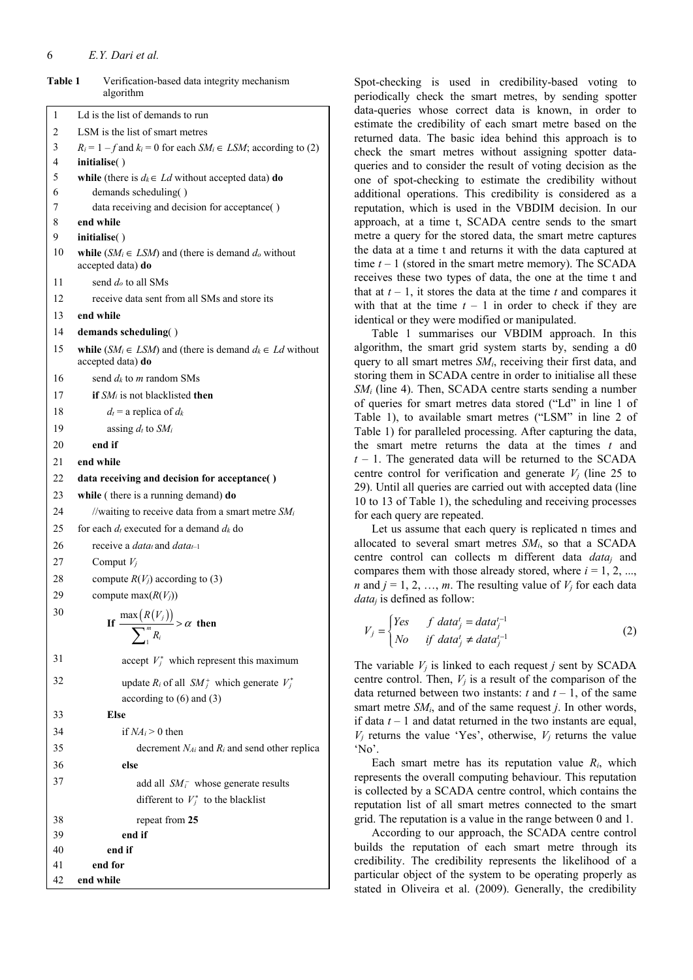#### 6 *E.Y. Dari et al.*

| <b>TADIG 1</b><br>verification-based data integrity mechanism<br>algorithm                     |
|------------------------------------------------------------------------------------------------|
| Ld is the list of demands to run                                                               |
| LSM is the list of smart metres                                                                |
| $R_i = 1 - f$ and $k_i = 0$ for each $SM_i \in LSM$ ; according to (2)                         |
| initialise()                                                                                   |
| while (there is $d_k \in Ld$ without accepted data) do                                         |
| demands scheduling()                                                                           |
| data receiving and decision for acceptance()                                                   |
| end while                                                                                      |
| initialise()<br>while $(SM_i \in LSM)$ and (there is demand $d_o$ without<br>accepted data) do |
| send $d_o$ to all SMs                                                                          |
| receive data sent from all SMs and store its                                                   |
| end while                                                                                      |
|                                                                                                |
| demands scheduling()                                                                           |
| while $(SM_i \in LSM)$ and (there is demand $d_k \in Ld$ without<br>accepted data) do          |
| send $d_k$ to m random SMs                                                                     |
| if $SM_i$ is not blacklisted then                                                              |
| $d_t$ = a replica of $d_k$                                                                     |
| assing $d_t$ to $SM_i$                                                                         |
| end if                                                                                         |
| end while                                                                                      |
| data receiving and decision for acceptance()                                                   |
| while (there is a running demand) do                                                           |
| //waiting to receive data from a smart metre $SM_i$                                            |
| for each $d_t$ executed for a demand $d_k$ do                                                  |
| receive a <i>data<sub>t</sub></i> and <i>data<sub>t-1</sub></i>                                |
| Comput $V_i$                                                                                   |
| compute $R(V_i)$ according to (3)                                                              |
| compute $max(R(V_i))$                                                                          |
| If $\frac{\max(R(V_j))}{\sum_{i=1}^{m} R_i} > \alpha$ then                                     |
| accept $V_i^*$ which represent this maximum                                                    |
| update $R_i$ of all $SM_i^+$ which generate $V_i^*$<br>according to $(6)$ and $(3)$            |
| <b>Else</b>                                                                                    |
| if $NA_i > 0$ then                                                                             |
| decrement $N_{Ai}$ and $R_i$ and send other replica                                            |
| else                                                                                           |
|                                                                                                |
| add all $SM_i^-$ whose generate results                                                        |
| different to $V_i^*$ to the blacklist                                                          |
| repeat from 25                                                                                 |
| end if                                                                                         |
| end if<br>end for                                                                              |
| end while                                                                                      |
|                                                                                                |

**Table 1** Verification-based data integrity mechanism Spot-checking is used in credibility-based voting to

periodically check the smart metres, by sending spotter data-queries whose correct data is known, in order to estimate the credibility of each smart metre based on the returned data. The basic idea behind this approach is to check the smart metres without assigning spotter dataqueries and to consider the result of voting decision as the one of spot-checking to estimate the credibility without additional operations. This credibility is considered as a reputation, which is used in the VBDIM decision. In our approach, at a time t, SCADA centre sends to the smart metre a query for the stored data, the smart metre captures the data at a time t and returns it with the data captured at time  $t - 1$  (stored in the smart metre memory). The SCADA receives these two types of data, the one at the time t and that at  $t - 1$ , it stores the data at the time  $t$  and compares it with that at the time  $t - 1$  in order to check if they are identical or they were modified or manipulated.

Table 1 summarises our VBDIM approach. In this algorithm, the smart grid system starts by, sending a d0 query to all smart metres  $SM<sub>i</sub>$ , receiving their first data, and storing them in SCADA centre in order to initialise all these *SM<sub>i</sub>* (line 4). Then, SCADA centre starts sending a number of queries for smart metres data stored ("Ld" in line 1 of Table 1), to available smart metres ("LSM" in line 2 of Table 1) for paralleled processing. After capturing the data, the smart metre returns the data at the times *t* and *t* – 1. The generated data will be returned to the SCADA centre control for verification and generate  $V_j$  (line 25 to 29). Until all queries are carried out with accepted data (line 10 to 13 of Table 1), the scheduling and receiving processes for each query are repeated.

Let us assume that each query is replicated n times and allocated to several smart metres *SMi*, so that a SCADA centre control can collects m different data *dataj* and compares them with those already stored, where  $i = 1, 2, \ldots$ *n* and  $j = 1, 2, ..., m$ . The resulting value of  $V_j$  for each data *dataj* is defined as follow:

$$
V_j = \begin{cases} Yes & f \ data_j^t = data_j^{t-1} \\ No & if \ data_j^t \neq data_j^{t-1} \end{cases}
$$
 (2)

The variable *Vj* is linked to each request *j* sent by SCADA centre control. Then,  $V_i$  is a result of the comparison of the data returned between two instants:  $t$  and  $t - 1$ , of the same smart metre *SMi*, and of the same request *j*. In other words, if data *t* – 1 and datat returned in the two instants are equal,  $V_i$  returns the value 'Yes', otherwise,  $V_i$  returns the value 'No'.

Each smart metre has its reputation value *Ri*, which represents the overall computing behaviour. This reputation is collected by a SCADA centre control, which contains the reputation list of all smart metres connected to the smart grid. The reputation is a value in the range between 0 and 1.

According to our approach, the SCADA centre control builds the reputation of each smart metre through its credibility. The credibility represents the likelihood of a particular object of the system to be operating properly as stated in Oliveira et al. (2009). Generally, the credibility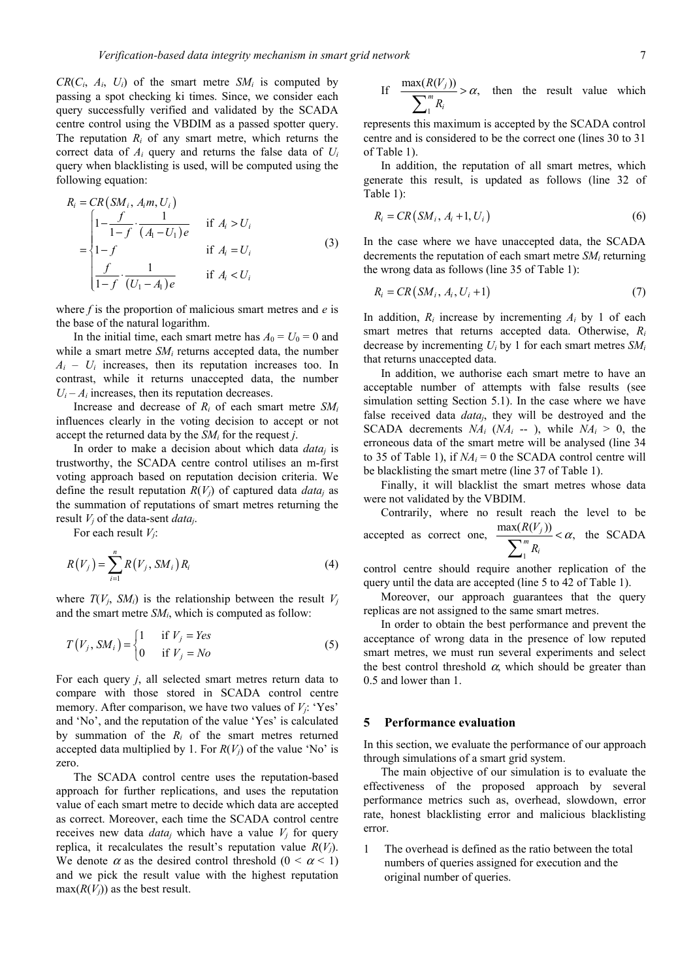$CR(C_i, A_i, U_i)$  of the smart metre  $SM_i$  is computed by passing a spot checking ki times. Since, we consider each query successfully verified and validated by the SCADA centre control using the VBDIM as a passed spotter query. The reputation *Ri* of any smart metre, which returns the correct data of *Ai* query and returns the false data of *Ui* query when blacklisting is used, will be computed using the following equation:

$$
R_{i} = CR(SM_{i}, A_{i}m, U_{i})
$$
\n
$$
= \begin{cases}\n1 - \frac{f}{1 - f} \cdot \frac{1}{(A_{1} - U_{1})e} & \text{if } A_{i} > U_{i} \\
1 - f & \text{if } A_{i} = U_{i} \\
\frac{f}{1 - f} \cdot \frac{1}{(U_{1} - A_{1})e} & \text{if } A_{i} < U_{i}\n\end{cases}
$$
\n(3)

where *f* is the proportion of malicious smart metres and *e* is the base of the natural logarithm.

In the initial time, each smart metre has  $A_0 = U_0 = 0$  and while a smart metre *SM<sub>i</sub>* returns accepted data, the number  $A_i - U_i$  increases, then its reputation increases too. In contrast, while it returns unaccepted data, the number  $U_i - A_i$  increases, then its reputation decreases.

Increase and decrease of *Ri* of each smart metre *SMi* influences clearly in the voting decision to accept or not accept the returned data by the *SMi* for the request *j*.

In order to make a decision about which data *dataj* is trustworthy, the SCADA centre control utilises an m-first voting approach based on reputation decision criteria. We define the result reputation  $R(V_i)$  of captured data *data<sub>i</sub>* as the summation of reputations of smart metres returning the result *Vj* of the data-sent *dataj*.

For each result *Vj*:

$$
R(V_j) = \sum_{i=1}^{n} R(V_j, SM_i) R_i
$$
 (4)

where  $T(V_i, SM_i)$  is the relationship between the result  $V_i$ and the smart metre *SMi*, which is computed as follow:

$$
T(V_j, SM_i) = \begin{cases} 1 & \text{if } V_j = Yes \\ 0 & \text{if } V_j = No \end{cases}
$$
 (5)

For each query *j*, all selected smart metres return data to compare with those stored in SCADA control centre memory. After comparison, we have two values of *Vj*: 'Yes' and 'No', and the reputation of the value 'Yes' is calculated by summation of the  $R_i$  of the smart metres returned accepted data multiplied by 1. For  $R(V_i)$  of the value 'No' is zero.

The SCADA control centre uses the reputation-based approach for further replications, and uses the reputation value of each smart metre to decide which data are accepted as correct. Moreover, each time the SCADA control centre receives new data  $data_j$  which have a value  $V_j$  for query replica, it recalculates the result's reputation value  $R(V_i)$ . We denote  $\alpha$  as the desired control threshold  $(0 < \alpha < 1)$ and we pick the result value with the highest reputation  $max(R(V_i))$  as the best result.

If 
$$
\frac{\max(R(V_j))}{\sum_{i=1}^{m} R_i} > \alpha
$$
, then the result value which

represents this maximum is accepted by the SCADA control centre and is considered to be the correct one (lines 30 to 31 of Table 1).

In addition, the reputation of all smart metres, which generate this result, is updated as follows (line 32 of Table 1):

$$
R_i = CR\left(SM_i, A_i + 1, U_i\right) \tag{6}
$$

In the case where we have unaccepted data, the SCADA decrements the reputation of each smart metre *SMi* returning the wrong data as follows (line 35 of Table 1):

$$
R_i = CR\left(SM_i, A_i, U_i + 1\right) \tag{7}
$$

In addition,  $R_i$  increase by incrementing  $A_i$  by 1 of each smart metres that returns accepted data. Otherwise, *Ri* decrease by incrementing *Ui* by 1 for each smart metres *SMi* that returns unaccepted data.

In addition, we authorise each smart metre to have an acceptable number of attempts with false results (see simulation setting Section 5.1). In the case where we have false received data *dataj*, they will be destroyed and the SCADA decrements  $NA_i$  ( $NA_i$  -- ), while  $NA_i > 0$ , the erroneous data of the smart metre will be analysed (line 34 to 35 of Table 1), if  $NA_i = 0$  the SCADA control centre will be blacklisting the smart metre (line 37 of Table 1).

Finally, it will blacklist the smart metres whose data were not validated by the VBDIM.

Contrarily, where no result reach the level to be accepted as correct one, 1  $\frac{\max(R(V_j))}{\sum^m n} < \alpha,$ *i R V R*  $\sum_{i=1}^{m} R_i < \alpha$ , the SCADA

control centre should require another replication of the query until the data are accepted (line 5 to 42 of Table 1).

Moreover, our approach guarantees that the query replicas are not assigned to the same smart metres.

In order to obtain the best performance and prevent the acceptance of wrong data in the presence of low reputed smart metres, we must run several experiments and select the best control threshold  $\alpha$ , which should be greater than 0.5 and lower than 1.

### **5 Performance evaluation**

In this section, we evaluate the performance of our approach through simulations of a smart grid system.

The main objective of our simulation is to evaluate the effectiveness of the proposed approach by several performance metrics such as, overhead, slowdown, error rate, honest blacklisting error and malicious blacklisting error.

1 The overhead is defined as the ratio between the total numbers of queries assigned for execution and the original number of queries.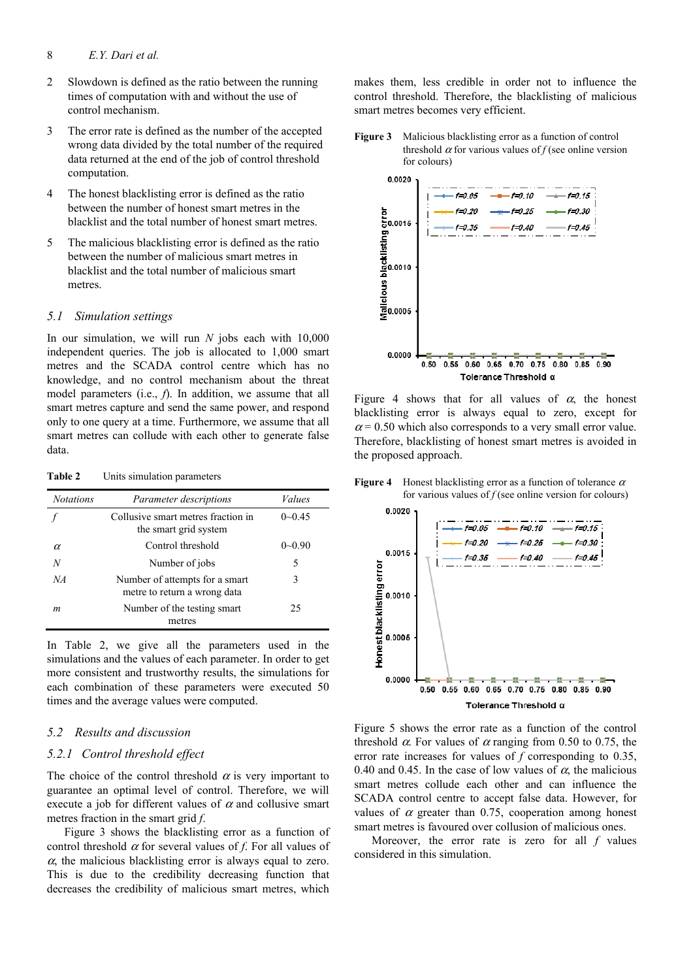- 2 Slowdown is defined as the ratio between the running times of computation with and without the use of control mechanism.
- 3 The error rate is defined as the number of the accepted wrong data divided by the total number of the required data returned at the end of the job of control threshold computation.
- 4 The honest blacklisting error is defined as the ratio between the number of honest smart metres in the blacklist and the total number of honest smart metres.
- 5 The malicious blacklisting error is defined as the ratio between the number of malicious smart metres in blacklist and the total number of malicious smart metres.

## *5.1 Simulation settings*

In our simulation, we will run *N* jobs each with 10,000 independent queries. The job is allocated to 1,000 smart metres and the SCADA control centre which has no knowledge, and no control mechanism about the threat model parameters (i.e., *f*). In addition, we assume that all smart metres capture and send the same power, and respond only to one query at a time. Furthermore, we assume that all smart metres can collude with each other to generate false data.

**Table 2** Units simulation parameters

| <b>Notations</b> | Parameter descriptions                                         | Values       |
|------------------|----------------------------------------------------------------|--------------|
|                  | Collusive smart metres fraction in<br>the smart grid system    | $0\neg 0.45$ |
| α                | Control threshold                                              | $0 - 0.90$   |
| N                | Number of jobs                                                 | 5            |
| NA               | Number of attempts for a smart<br>metre to return a wrong data | 3            |
| m                | Number of the testing smart<br>metres                          | 25           |

In Table 2, we give all the parameters used in the simulations and the values of each parameter. In order to get more consistent and trustworthy results, the simulations for each combination of these parameters were executed 50 times and the average values were computed.

# *5.2 Results and discussion*

### *5.2.1 Control threshold effect*

The choice of the control threshold  $\alpha$  is very important to guarantee an optimal level of control. Therefore, we will execute a job for different values of  $\alpha$  and collusive smart metres fraction in the smart grid *f*.

Figure 3 shows the blacklisting error as a function of control threshold  $\alpha$  for several values of *f*. For all values of  $\alpha$ , the malicious blacklisting error is always equal to zero. This is due to the credibility decreasing function that decreases the credibility of malicious smart metres, which

makes them, less credible in order not to influence the control threshold. Therefore, the blacklisting of malicious smart metres becomes very efficient.





Figure 4 shows that for all values of  $\alpha$ , the honest blacklisting error is always equal to zero, except for  $\alpha$  = 0.50 which also corresponds to a very small error value. Therefore, blacklisting of honest smart metres is avoided in the proposed approach.

**Figure 4** Honest blacklisting error as a function of tolerance  $\alpha$ 



Figure 5 shows the error rate as a function of the control threshold  $\alpha$ . For values of  $\alpha$  ranging from 0.50 to 0.75, the error rate increases for values of *f* corresponding to 0.35, 0.40 and 0.45. In the case of low values of  $\alpha$ , the malicious smart metres collude each other and can influence the SCADA control centre to accept false data. However, for values of  $\alpha$  greater than 0.75, cooperation among honest smart metres is favoured over collusion of malicious ones.

Moreover, the error rate is zero for all *f* values considered in this simulation.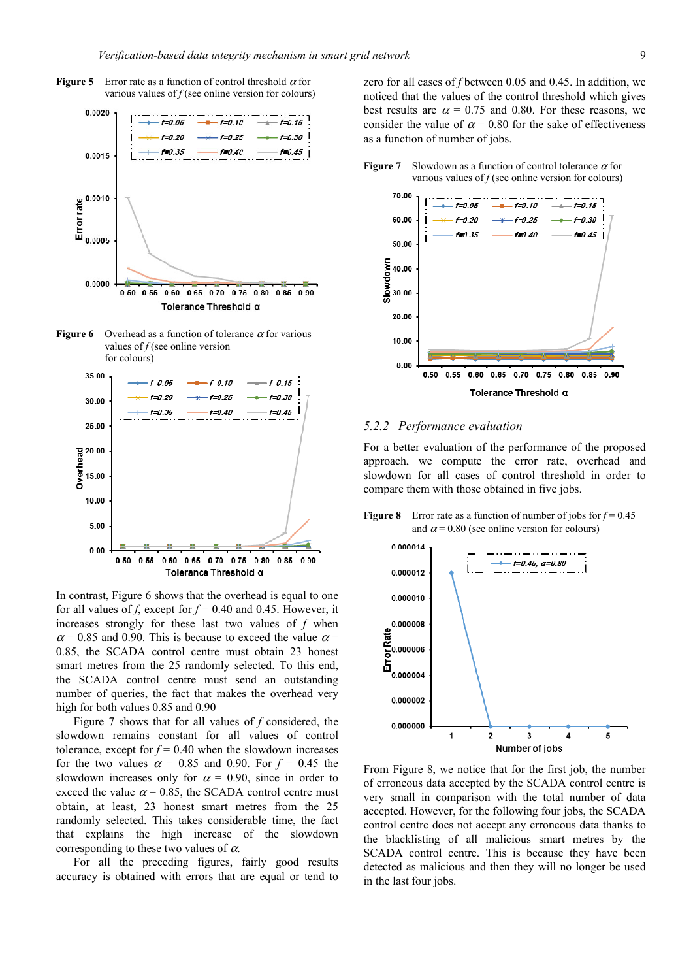







In contrast, Figure 6 shows that the overhead is equal to one for all values of *f*, except for  $f = 0.40$  and 0.45. However, it increases strongly for these last two values of *f* when  $\alpha$  = 0.85 and 0.90. This is because to exceed the value  $\alpha$  = 0.85, the SCADA control centre must obtain 23 honest smart metres from the 25 randomly selected. To this end, the SCADA control centre must send an outstanding number of queries, the fact that makes the overhead very high for both values 0.85 and 0.90

Figure 7 shows that for all values of *f* considered, the slowdown remains constant for all values of control tolerance, except for  $f = 0.40$  when the slowdown increases for the two values  $\alpha = 0.85$  and 0.90. For  $f = 0.45$  the slowdown increases only for  $\alpha = 0.90$ , since in order to exceed the value  $\alpha$  = 0.85, the SCADA control centre must obtain, at least, 23 honest smart metres from the 25 randomly selected. This takes considerable time, the fact that explains the high increase of the slowdown corresponding to these two values of  $\alpha$ .

For all the preceding figures, fairly good results accuracy is obtained with errors that are equal or tend to zero for all cases of *f* between 0.05 and 0.45. In addition, we noticed that the values of the control threshold which gives best results are  $\alpha = 0.75$  and 0.80. For these reasons, we consider the value of  $\alpha$  = 0.80 for the sake of effectiveness as a function of number of jobs.



#### **Figure 7** Slowdown as a function of control tolerance  $\alpha$  for various values of  $f$  (see online version for colours)

*5.2.2 Performance evaluation* 

For a better evaluation of the performance of the proposed approach, we compute the error rate, overhead and slowdown for all cases of control threshold in order to compare them with those obtained in five jobs.

**Figure 8** Error rate as a function of number of jobs for  $f = 0.45$ and  $\alpha$  = 0.80 (see online version for colours)



From Figure 8, we notice that for the first job, the number of erroneous data accepted by the SCADA control centre is very small in comparison with the total number of data accepted. However, for the following four jobs, the SCADA control centre does not accept any erroneous data thanks to the blacklisting of all malicious smart metres by the SCADA control centre. This is because they have been detected as malicious and then they will no longer be used in the last four jobs.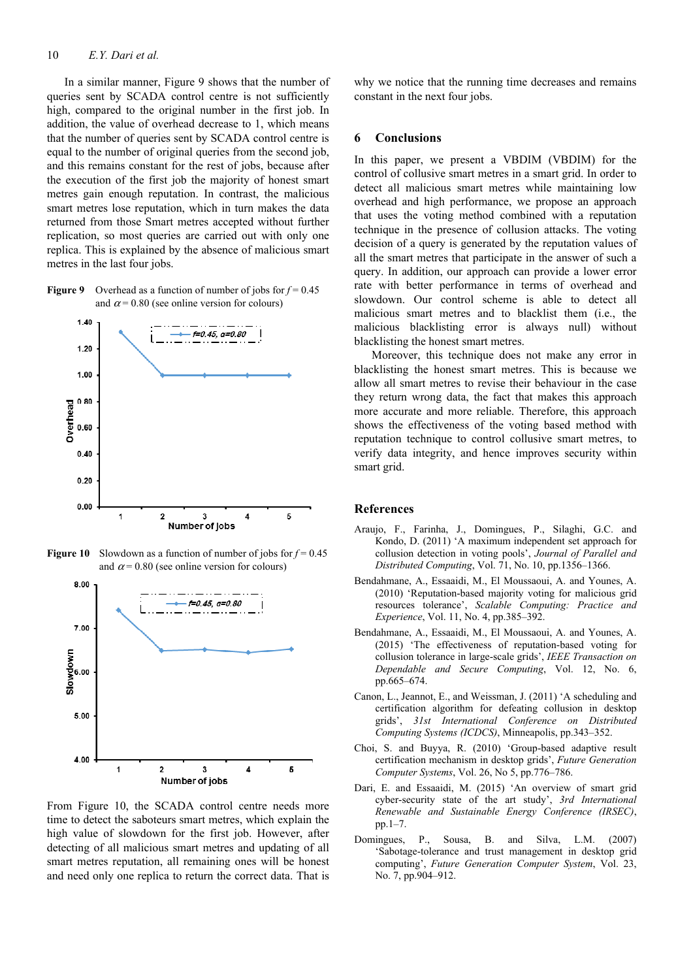#### 10 *E.Y. Dari et al.*

In a similar manner, Figure 9 shows that the number of queries sent by SCADA control centre is not sufficiently high, compared to the original number in the first job. In addition, the value of overhead decrease to 1, which means that the number of queries sent by SCADA control centre is equal to the number of original queries from the second job, and this remains constant for the rest of jobs, because after the execution of the first job the majority of honest smart metres gain enough reputation. In contrast, the malicious smart metres lose reputation, which in turn makes the data returned from those Smart metres accepted without further replication, so most queries are carried out with only one replica. This is explained by the absence of malicious smart metres in the last four jobs.

**Figure 9** Overhead as a function of number of jobs for  $f = 0.45$ and  $\alpha$  = 0.80 (see online version for colours)



**Figure 10** Slowdown as a function of number of jobs for  $f = 0.45$ and  $\alpha$  = 0.80 (see online version for colours)



From Figure 10, the SCADA control centre needs more time to detect the saboteurs smart metres, which explain the high value of slowdown for the first job. However, after detecting of all malicious smart metres and updating of all smart metres reputation, all remaining ones will be honest and need only one replica to return the correct data. That is

why we notice that the running time decreases and remains constant in the next four jobs.

## **6 Conclusions**

In this paper, we present a VBDIM (VBDIM) for the control of collusive smart metres in a smart grid. In order to detect all malicious smart metres while maintaining low overhead and high performance, we propose an approach that uses the voting method combined with a reputation technique in the presence of collusion attacks. The voting decision of a query is generated by the reputation values of all the smart metres that participate in the answer of such a query. In addition, our approach can provide a lower error rate with better performance in terms of overhead and slowdown. Our control scheme is able to detect all malicious smart metres and to blacklist them (i.e., the malicious blacklisting error is always null) without blacklisting the honest smart metres.

Moreover, this technique does not make any error in blacklisting the honest smart metres. This is because we allow all smart metres to revise their behaviour in the case they return wrong data, the fact that makes this approach more accurate and more reliable. Therefore, this approach shows the effectiveness of the voting based method with reputation technique to control collusive smart metres, to verify data integrity, and hence improves security within smart grid.

#### **References**

- Araujo, F., Farinha, J., Domingues, P., Silaghi, G.C. and Kondo, D. (2011) 'A maximum independent set approach for collusion detection in voting pools', *Journal of Parallel and Distributed Computing*, Vol. 71, No. 10, pp.1356–1366.
- Bendahmane, A., Essaaidi, M., El Moussaoui, A. and Younes, A. (2010) 'Reputation-based majority voting for malicious grid resources tolerance', *Scalable Computing: Practice and Experience*, Vol. 11, No. 4, pp.385–392.
- Bendahmane, A., Essaaidi, M., El Moussaoui, A. and Younes, A. (2015) 'The effectiveness of reputation-based voting for collusion tolerance in large-scale grids', *IEEE Transaction on Dependable and Secure Computing*, Vol. 12, No. 6, pp.665–674.
- Canon, L., Jeannot, E., and Weissman, J. (2011) 'A scheduling and certification algorithm for defeating collusion in desktop grids', *31st International Conference on Distributed Computing Systems (ICDCS)*, Minneapolis, pp.343–352.
- Choi, S. and Buyya, R. (2010) 'Group-based adaptive result certification mechanism in desktop grids', *Future Generation Computer Systems*, Vol. 26, No 5, pp.776–786.
- Dari, E. and Essaaidi, M. (2015) 'An overview of smart grid cyber-security state of the art study', *3rd International Renewable and Sustainable Energy Conference (IRSEC)*, pp.1–7.
- Domingues, P., Sousa, B. and Silva, L.M. (2007) 'Sabotage-tolerance and trust management in desktop grid computing', *Future Generation Computer System*, Vol. 23, No. 7, pp.904–912.